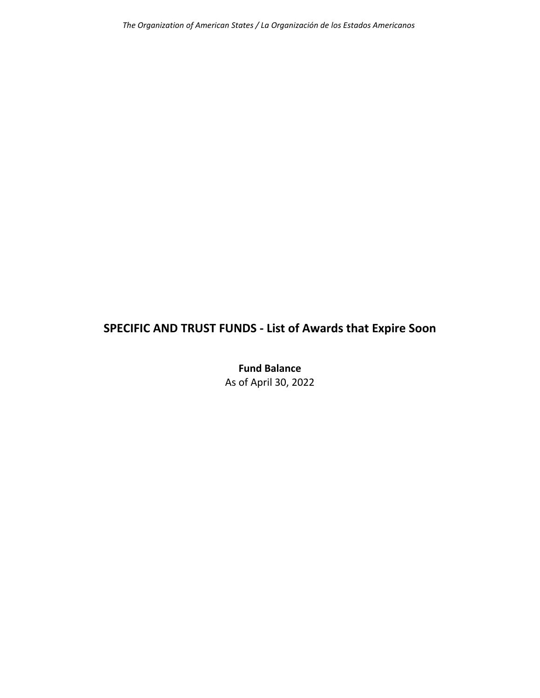## **SPECIFIC AND TRUST FUNDS ‐ List of Awards that Expire Soon**

**Fund Balance** As of April 30, 2022